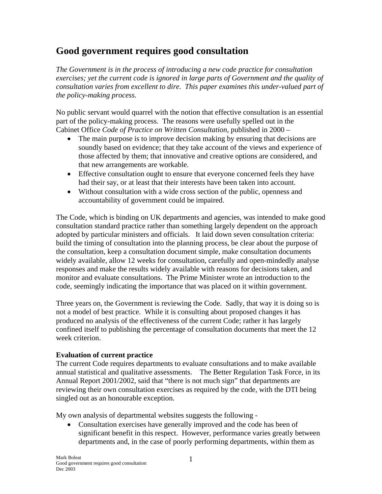## **Good government requires good consultation**

*The Government is in the process of introducing a new code practice for consultation exercises; yet the current code is ignored in large parts of Government and the quality of consultation varies from excellent to dire. This paper examines this under-valued part of the policy-making process.* 

No public servant would quarrel with the notion that effective consultation is an essential part of the policy-making process. The reasons were usefully spelled out in the Cabinet Office *Code of Practice on Written Consultation*, published in 2000 –

- The main purpose is to improve decision making by ensuring that decisions are soundly based on evidence; that they take account of the views and experience of those affected by them; that innovative and creative options are considered, and that new arrangements are workable.
- Effective consultation ought to ensure that everyone concerned feels they have had their say, or at least that their interests have been taken into account.
- Without consultation with a wide cross section of the public, openness and accountability of government could be impaired.

The Code, which is binding on UK departments and agencies, was intended to make good consultation standard practice rather than something largely dependent on the approach adopted by particular ministers and officials. It laid down seven consultation criteria: build the timing of consultation into the planning process, be clear about the purpose of the consultation, keep a consultation document simple, make consultation documents widely available, allow 12 weeks for consultation, carefully and open-mindedly analyse responses and make the results widely available with reasons for decisions taken, and monitor and evaluate consultations. The Prime Minister wrote an introduction to the code, seemingly indicating the importance that was placed on it within government.

Three years on, the Government is reviewing the Code. Sadly, that way it is doing so is not a model of best practice. While it is consulting about proposed changes it has produced no analysis of the effectiveness of the current Code; rather it has largely confined itself to publishing the percentage of consultation documents that meet the 12 week criterion.

## **Evaluation of current practice**

The current Code requires departments to evaluate consultations and to make available annual statistical and qualitative assessments. The Better Regulation Task Force, in its Annual Report 2001/2002, said that "there is not much sign" that departments are reviewing their own consultation exercises as required by the code, with the DTI being singled out as an honourable exception.

My own analysis of departmental websites suggests the following -

• Consultation exercises have generally improved and the code has been of significant benefit in this respect. However, performance varies greatly between departments and, in the case of poorly performing departments, within them as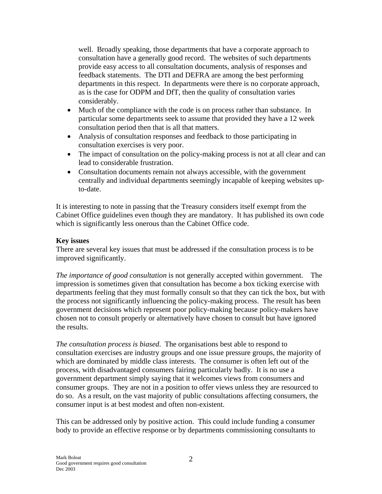well. Broadly speaking, those departments that have a corporate approach to consultation have a generally good record. The websites of such departments provide easy access to all consultation documents, analysis of responses and feedback statements. The DTI and DEFRA are among the best performing departments in this respect. In departments were there is no corporate approach, as is the case for ODPM and DfT, then the quality of consultation varies considerably.

- Much of the compliance with the code is on process rather than substance. In particular some departments seek to assume that provided they have a 12 week consultation period then that is all that matters.
- Analysis of consultation responses and feedback to those participating in consultation exercises is very poor.
- The impact of consultation on the policy-making process is not at all clear and can lead to considerable frustration.
- Consultation documents remain not always accessible, with the government centrally and individual departments seemingly incapable of keeping websites upto-date.

It is interesting to note in passing that the Treasury considers itself exempt from the Cabinet Office guidelines even though they are mandatory. It has published its own code which is significantly less onerous than the Cabinet Office code.

## **Key issues**

There are several key issues that must be addressed if the consultation process is to be improved significantly.

*The importance of good consultation* is not generally accepted within government. The impression is sometimes given that consultation has become a box ticking exercise with departments feeling that they must formally consult so that they can tick the box, but with the process not significantly influencing the policy-making process. The result has been government decisions which represent poor policy-making because policy-makers have chosen not to consult properly or alternatively have chosen to consult but have ignored the results.

*The consultation process is biased*. The organisations best able to respond to consultation exercises are industry groups and one issue pressure groups, the majority of which are dominated by middle class interests. The consumer is often left out of the process, with disadvantaged consumers fairing particularly badly. It is no use a government department simply saying that it welcomes views from consumers and consumer groups. They are not in a position to offer views unless they are resourced to do so. As a result, on the vast majority of public consultations affecting consumers, the consumer input is at best modest and often non-existent.

This can be addressed only by positive action. This could include funding a consumer body to provide an effective response or by departments commissioning consultants to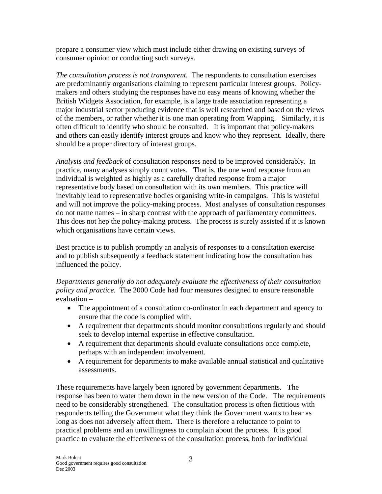prepare a consumer view which must include either drawing on existing surveys of consumer opinion or conducting such surveys.

*The consultation process is not transparent.* The respondents to consultation exercises are predominantly organisations claiming to represent particular interest groups. Policymakers and others studying the responses have no easy means of knowing whether the British Widgets Association, for example, is a large trade association representing a major industrial sector producing evidence that is well researched and based on the views of the members, or rather whether it is one man operating from Wapping. Similarly, it is often difficult to identify who should be consulted. It is important that policy-makers and others can easily identify interest groups and know who they represent. Ideally, there should be a proper directory of interest groups.

*Analysis and feedback* of consultation responses need to be improved considerably. In practice, many analyses simply count votes. That is, the one word response from an individual is weighted as highly as a carefully drafted response from a major representative body based on consultation with its own members. This practice will inevitably lead to representative bodies organising write-in campaigns. This is wasteful and will not improve the policy-making process. Most analyses of consultation responses do not name names – in sharp contrast with the approach of parliamentary committees. This does not hep the policy-making process. The process is surely assisted if it is known which organisations have certain views.

Best practice is to publish promptly an analysis of responses to a consultation exercise and to publish subsequently a feedback statement indicating how the consultation has influenced the policy.

*Departments generally do not adequately evaluate the effectiveness of their consultation policy and practice.* The 2000 Code had four measures designed to ensure reasonable evaluation –

- The appointment of a consultation co-ordinator in each department and agency to ensure that the code is complied with.
- A requirement that departments should monitor consultations regularly and should seek to develop internal expertise in effective consultation.
- A requirement that departments should evaluate consultations once complete, perhaps with an independent involvement.
- A requirement for departments to make available annual statistical and qualitative assessments.

These requirements have largely been ignored by government departments. The response has been to water them down in the new version of the Code. The requirements need to be considerably strengthened. The consultation process is often fictitious with respondents telling the Government what they think the Government wants to hear as long as does not adversely affect them. There is therefore a reluctance to point to practical problems and an unwillingness to complain about the process. It is good practice to evaluate the effectiveness of the consultation process, both for individual